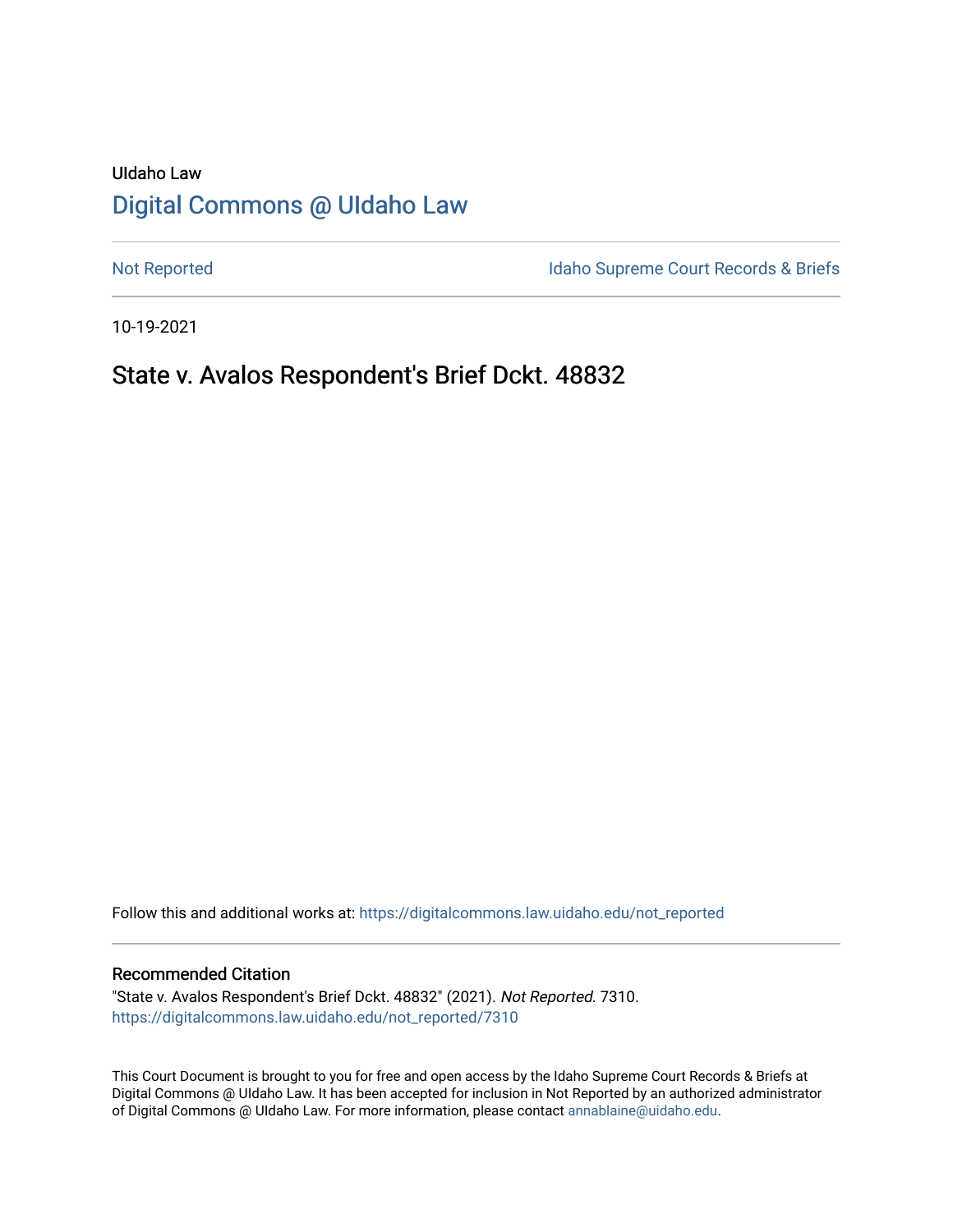# UIdaho Law [Digital Commons @ UIdaho Law](https://digitalcommons.law.uidaho.edu/)

[Not Reported](https://digitalcommons.law.uidaho.edu/not_reported) **Idaho Supreme Court Records & Briefs** 

10-19-2021

## State v. Avalos Respondent's Brief Dckt. 48832

Follow this and additional works at: [https://digitalcommons.law.uidaho.edu/not\\_reported](https://digitalcommons.law.uidaho.edu/not_reported?utm_source=digitalcommons.law.uidaho.edu%2Fnot_reported%2F7310&utm_medium=PDF&utm_campaign=PDFCoverPages) 

#### Recommended Citation

"State v. Avalos Respondent's Brief Dckt. 48832" (2021). Not Reported. 7310. [https://digitalcommons.law.uidaho.edu/not\\_reported/7310](https://digitalcommons.law.uidaho.edu/not_reported/7310?utm_source=digitalcommons.law.uidaho.edu%2Fnot_reported%2F7310&utm_medium=PDF&utm_campaign=PDFCoverPages)

This Court Document is brought to you for free and open access by the Idaho Supreme Court Records & Briefs at Digital Commons @ UIdaho Law. It has been accepted for inclusion in Not Reported by an authorized administrator of Digital Commons @ UIdaho Law. For more information, please contact [annablaine@uidaho.edu](mailto:annablaine@uidaho.edu).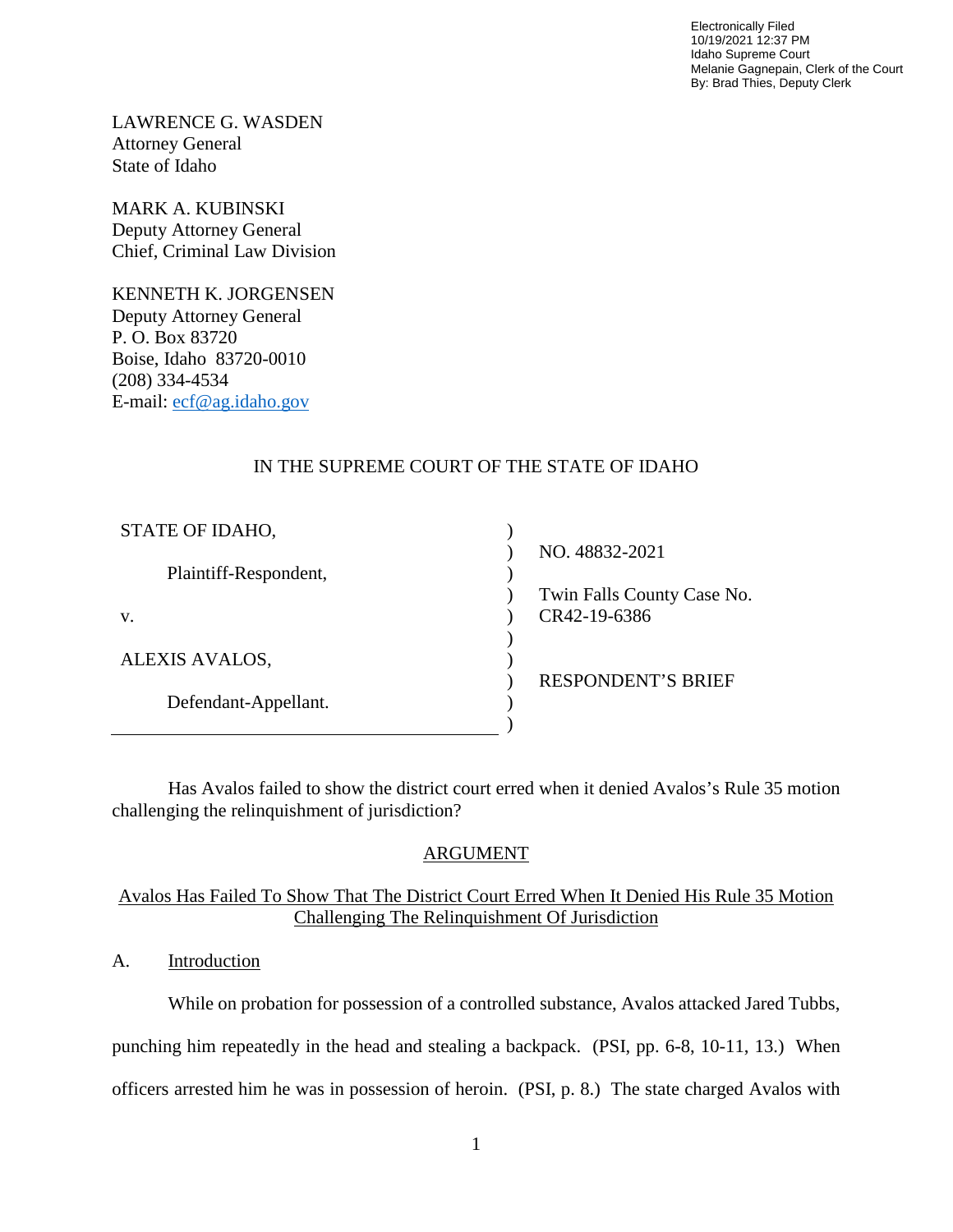Electronically Filed 10/19/2021 12:37 PM Idaho Supreme Court Melanie Gagnepain, Clerk of the Court By: Brad Thies, Deputy Clerk

LAWRENCE G. WASDEN Attorney General State of Idaho

MARK A. KUBINSKI Deputy Attorney General Chief, Criminal Law Division

KENNETH K. JORGENSEN Deputy Attorney General P. O. Box 83720 Boise, Idaho 83720-0010 (208) 334-4534 E-mail: [ecf@ag.idaho.gov](mailto:ecf@ag.idaho.gov)

### IN THE SUPREME COURT OF THE STATE OF IDAHO

| STATE OF IDAHO,       |                            |
|-----------------------|----------------------------|
|                       | NO. 48832-2021             |
| Plaintiff-Respondent, |                            |
|                       | Twin Falls County Case No. |
| V.                    | CR42-19-6386               |
|                       |                            |
| ALEXIS AVALOS,        |                            |
|                       | <b>RESPONDENT'S BRIEF</b>  |
| Defendant-Appellant.  |                            |
|                       |                            |

Has Avalos failed to show the district court erred when it denied Avalos's Rule 35 motion challenging the relinquishment of jurisdiction?

### ARGUMENT

### Avalos Has Failed To Show That The District Court Erred When It Denied His Rule 35 Motion Challenging The Relinquishment Of Jurisdiction

A. Introduction

While on probation for possession of a controlled substance, Avalos attacked Jared Tubbs, punching him repeatedly in the head and stealing a backpack. (PSI, pp. 6-8, 10-11, 13.) When officers arrested him he was in possession of heroin. (PSI, p. 8.) The state charged Avalos with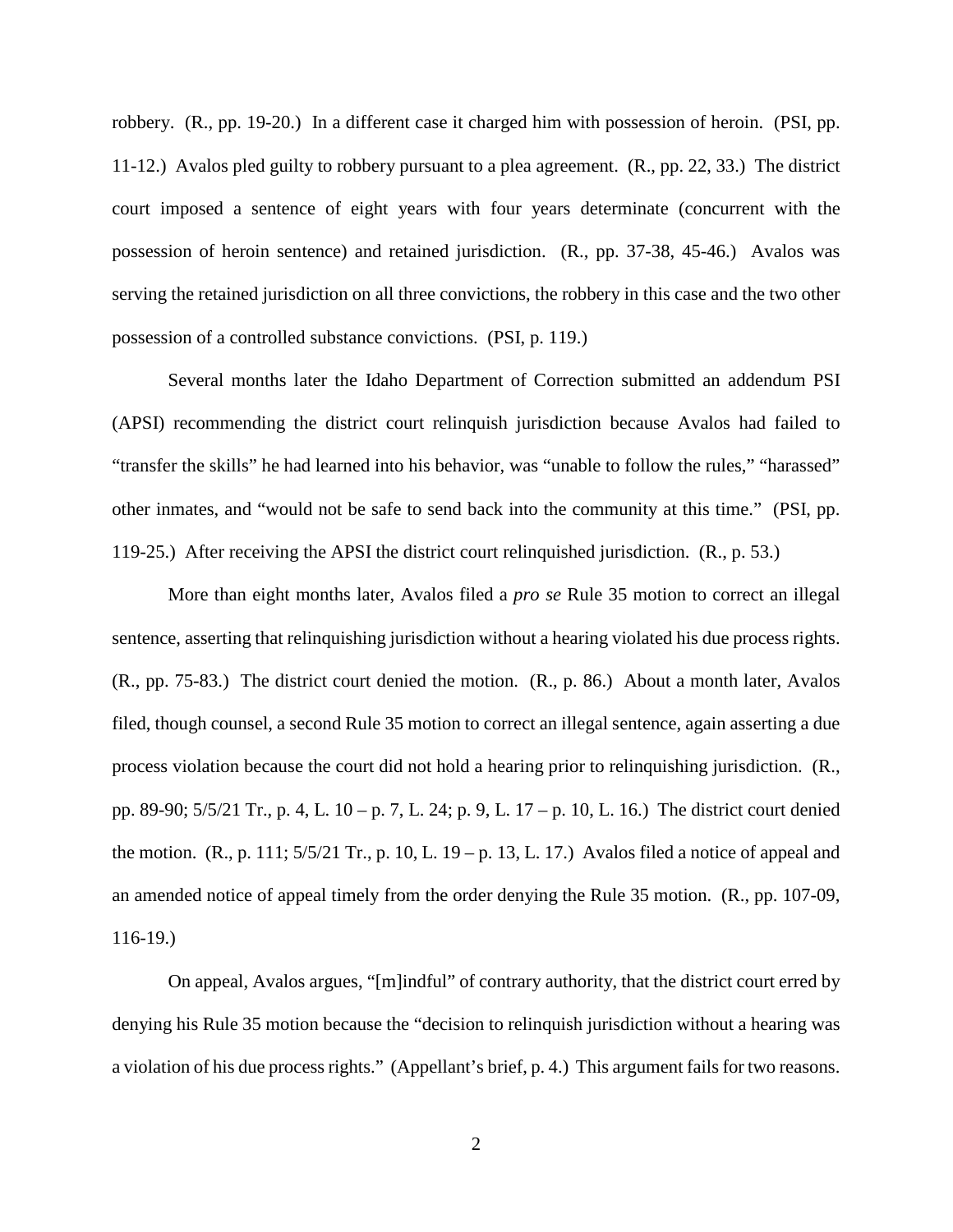robbery. (R., pp. 19-20.) In a different case it charged him with possession of heroin. (PSI, pp. 11-12.) Avalos pled guilty to robbery pursuant to a plea agreement. (R., pp. 22, 33.) The district court imposed a sentence of eight years with four years determinate (concurrent with the possession of heroin sentence) and retained jurisdiction. (R., pp. 37-38, 45-46.) Avalos was serving the retained jurisdiction on all three convictions, the robbery in this case and the two other possession of a controlled substance convictions. (PSI, p. 119.)

Several months later the Idaho Department of Correction submitted an addendum PSI (APSI) recommending the district court relinquish jurisdiction because Avalos had failed to "transfer the skills" he had learned into his behavior, was "unable to follow the rules," "harassed" other inmates, and "would not be safe to send back into the community at this time." (PSI, pp. 119-25.) After receiving the APSI the district court relinquished jurisdiction. (R., p. 53.)

More than eight months later, Avalos filed a *pro se* Rule 35 motion to correct an illegal sentence, asserting that relinquishing jurisdiction without a hearing violated his due process rights. (R., pp. 75-83.) The district court denied the motion. (R., p. 86.) About a month later, Avalos filed, though counsel, a second Rule 35 motion to correct an illegal sentence, again asserting a due process violation because the court did not hold a hearing prior to relinquishing jurisdiction. (R., pp. 89-90; 5/5/21 Tr., p. 4, L. 10 – p. 7, L. 24; p. 9, L. 17 – p. 10, L. 16.) The district court denied the motion. (R., p. 111; 5/5/21 Tr., p. 10, L. 19 – p. 13, L. 17.) Avalos filed a notice of appeal and an amended notice of appeal timely from the order denying the Rule 35 motion. (R., pp. 107-09, 116-19.)

On appeal, Avalos argues, "[m]indful" of contrary authority, that the district court erred by denying his Rule 35 motion because the "decision to relinquish jurisdiction without a hearing was a violation of his due process rights." (Appellant's brief, p. 4.) This argument fails for two reasons.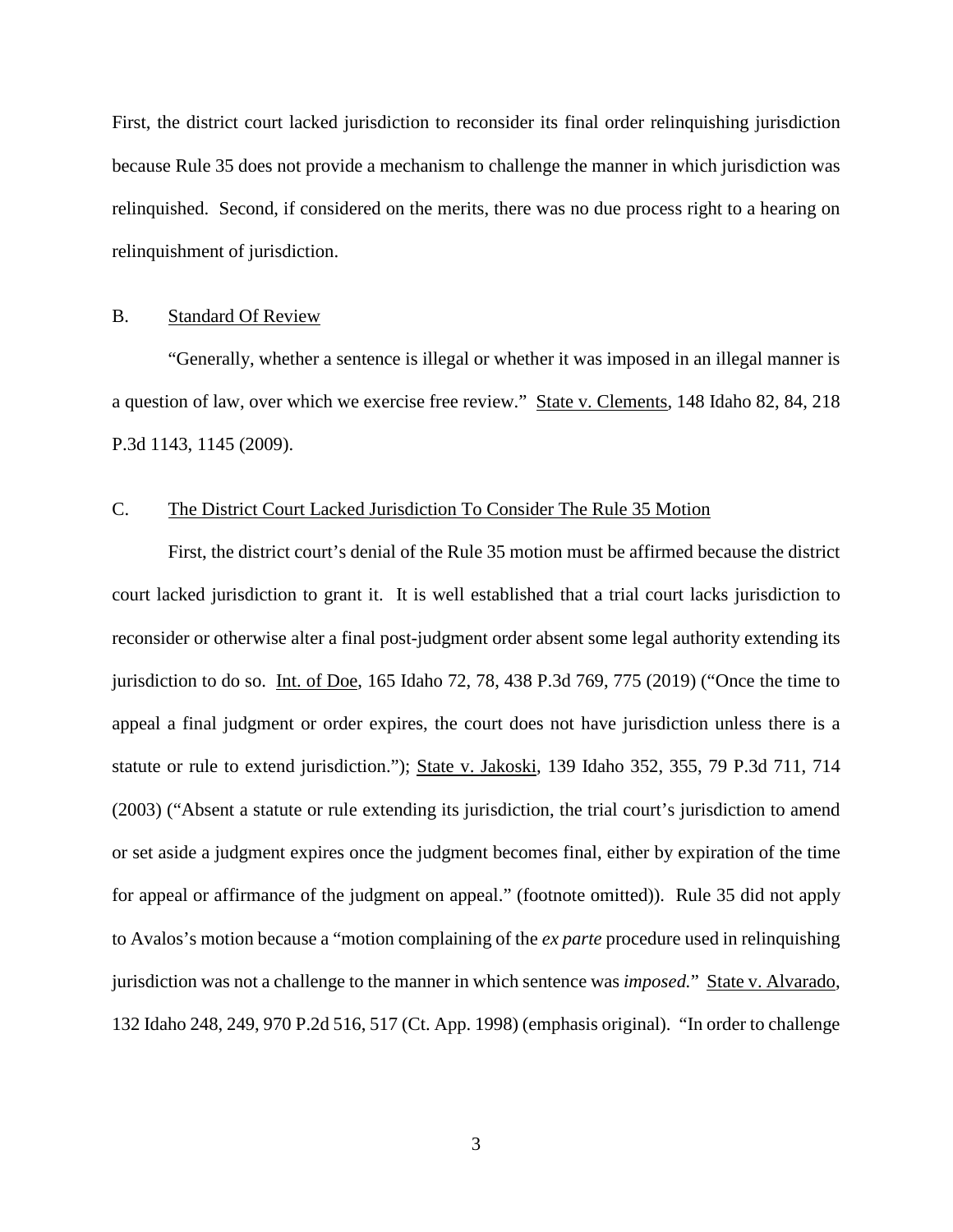First, the district court lacked jurisdiction to reconsider its final order relinquishing jurisdiction because Rule 35 does not provide a mechanism to challenge the manner in which jurisdiction was relinquished. Second, if considered on the merits, there was no due process right to a hearing on relinquishment of jurisdiction.

#### B. Standard Of Review

 "Generally, whether a sentence is illegal or whether it was imposed in an illegal manner is a question of law, over which we exercise free review." State v. Clements, 148 Idaho 82, 84, 218 P.3d 1143, 1145 (2009).

### C. The District Court Lacked Jurisdiction To Consider The Rule 35 Motion

First, the district court's denial of the Rule 35 motion must be affirmed because the district court lacked jurisdiction to grant it. It is well established that a trial court lacks jurisdiction to reconsider or otherwise alter a final post-judgment order absent some legal authority extending its jurisdiction to do so. Int. of Doe, 165 Idaho 72, 78, 438 P.3d 769, 775 (2019) ("Once the time to appeal a final judgment or order expires, the court does not have jurisdiction unless there is a statute or rule to extend jurisdiction."); State v. Jakoski, 139 Idaho 352, 355, 79 P.3d 711, 714 (2003) ("Absent a statute or rule extending its jurisdiction, the trial court's jurisdiction to amend or set aside a judgment expires once the judgment becomes final, either by expiration of the time for appeal or affirmance of the judgment on appeal." (footnote omitted)). Rule 35 did not apply to Avalos's motion because a "motion complaining of the *ex parte* procedure used in relinquishing jurisdiction was not a challenge to the manner in which sentence was *imposed.*" State v. Alvarado, 132 Idaho 248, 249, 970 P.2d 516, 517 (Ct. App. 1998) (emphasis original). "In order to challenge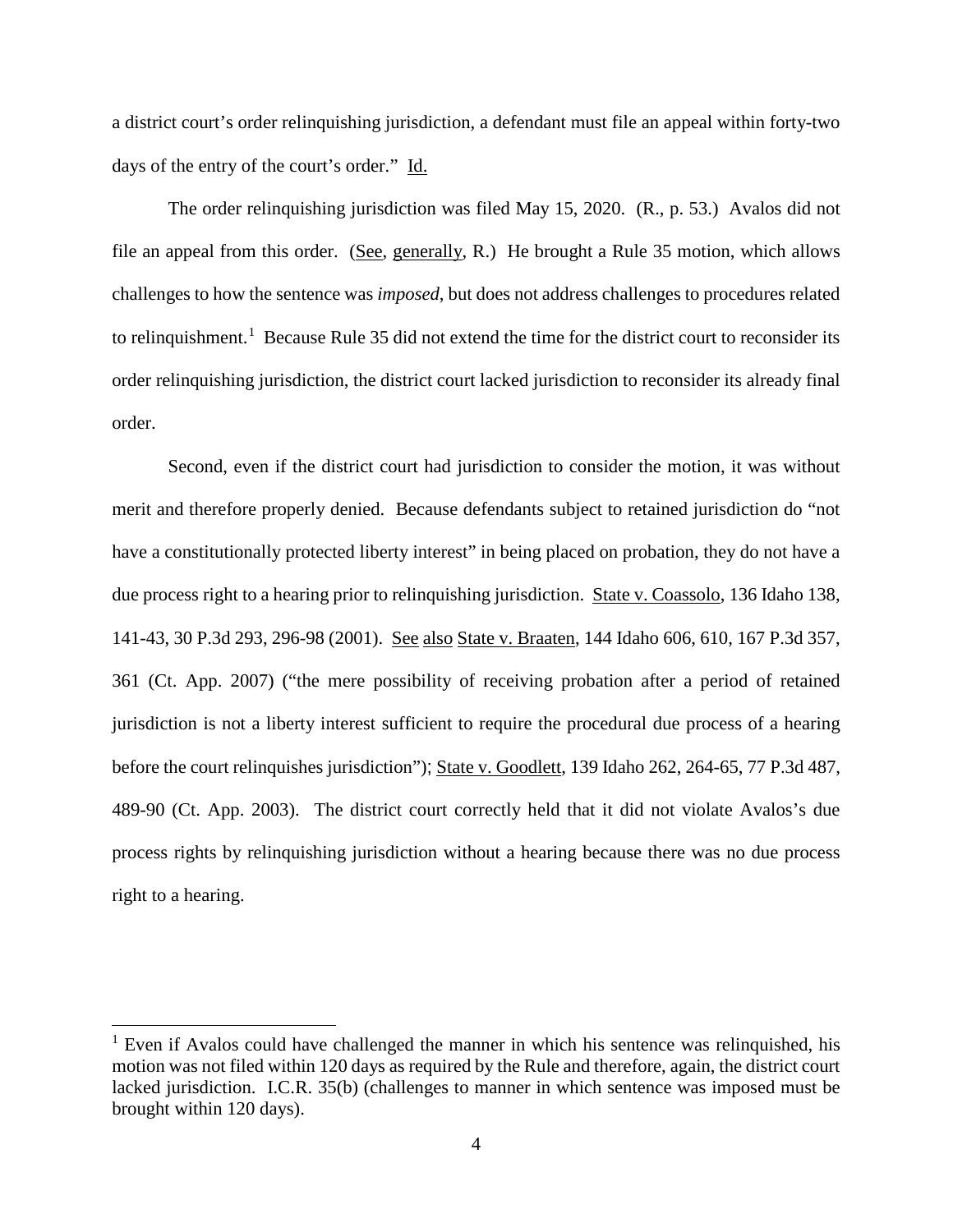a district court's order relinquishing jurisdiction, a defendant must file an appeal within forty-two days of the entry of the court's order." Id.

The order relinquishing jurisdiction was filed May 15, 2020. (R., p. 53.) Avalos did not file an appeal from this order. (See, generally, R.) He brought a Rule 35 motion, which allows challenges to how the sentence was *imposed*, but does not address challenges to procedures related to relinquishment.<sup>[1](#page-4-0)</sup> Because Rule 35 did not extend the time for the district court to reconsider its order relinquishing jurisdiction, the district court lacked jurisdiction to reconsider its already final order.

Second, even if the district court had jurisdiction to consider the motion, it was without merit and therefore properly denied. Because defendants subject to retained jurisdiction do "not have a constitutionally protected liberty interest" in being placed on probation, they do not have a due process right to a hearing prior to relinquishing jurisdiction. State v. Coassolo, 136 Idaho 138, 141-43, 30 P.3d 293, 296-98 (2001). See also State v. Braaten, 144 Idaho 606, 610, 167 P.3d 357, 361 (Ct. App. 2007) ("the mere possibility of receiving probation after a period of retained jurisdiction is not a liberty interest sufficient to require the procedural due process of a hearing before the court relinquishes jurisdiction"); State v. Goodlett, 139 Idaho 262, 264-65, 77 P.3d 487, 489-90 (Ct. App. 2003). The district court correctly held that it did not violate Avalos's due process rights by relinquishing jurisdiction without a hearing because there was no due process right to a hearing.

 $\overline{a}$ 

<span id="page-4-0"></span> $<sup>1</sup>$  Even if Avalos could have challenged the manner in which his sentence was relinquished, his</sup> motion was not filed within 120 days as required by the Rule and therefore, again, the district court lacked jurisdiction. I.C.R. 35(b) (challenges to manner in which sentence was imposed must be brought within 120 days).